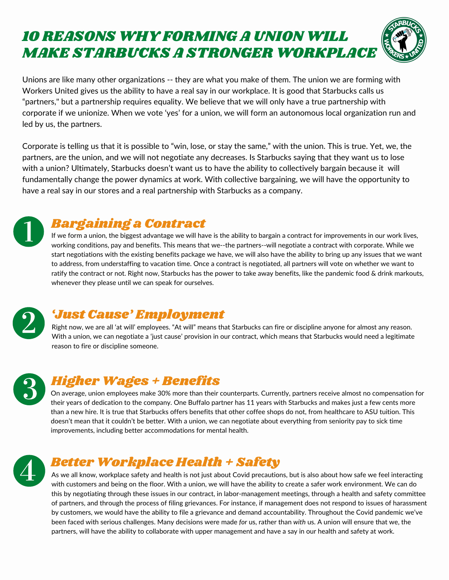# 10 REASONS WHY FORMING A UNION WILL MAKE STARBUCKS A STRONGER WORKPLACE



Unions are like many other organizations -- they are what you make of them. The union we are forming with Workers United gives us the ability to have a real say in our workplace. It is good that Starbucks calls us "partners, " but a partnership requires equality. We believe that we will only have a true partnership with corporate if we unionize. When we vote 'yes' for a union, we will form an autonomous local organization run and led by us, the partners.

Corporate is telling us that it is possible to "win, lose, or stay the same, " with the union. This is true. Yet, we, the partners, are the union, and we will not negotiate any decreases. Is Starbucks saying that they want us to lose with a union? Ultimately, Starbucks doesn't want us to have the ability to collectively bargain because it will fundamentally change the power dynamics at work. With collective bargaining, we will have the opportunity to have a real say in our stores and a real partnership with Starbucks as a company.

If we form a union, the biggest advantage we will have is the ability to bargain a contract for improvements in our work lives, working conditions, pay and benefits. This means that we--the partners--will negotiate a contract with corporate. While we start negotiations with the existing benefits package we have, we will also have the ability to bring up any issues that we want to address, from understaffing to vacation time. Once a contract is negotiated, all partners will vote on whether we want to ratify the contract or not. Right now, Starbucks has the power to take away benefits, like the pandemic food & drink markouts, whenever they please until we can speak for ourselves.



Right now, we are all 'at will' employees. "At will" means that Starbucks can fire or discipline anyone for almost any reason. With a union, we can negotiate a 'just cause' provision in our contract, which means that Starbucks would need a legitimate reason to fire or discipline someone.



On average, union employees make 30% more than their counterparts. Currently, partners receive almost no compensation for their years of dedication to the company. One Buffalo partner has 11 years with Starbucks and makes just a few cents more than a new hire. It is true that Starbucks offers benefits that other coffee shops do not, from healthcare to ASU tuition. This doesn't mean that it couldn't be better. With a union, we can negotiate about everything from seniority pay to sick time improvements, including better accommodations for mental health.



As we all know, workplace safety and health is not just about Covid precautions, but is also about how safe we feel interacting with customers and being on the floor. With a union, we will have the ability to create a safer work environment. We can do this by negotiating through these issues in our contract, in labor-management meetings, through a health and safety committee of partners, and through the process of filing grievances. For instance, if management does not respond to issues of harassment by customers, we would have the ability to file a grievance and demand accountability. Throughout the Covid pandemic we've been faced with serious challenges. Many decisions were made *for* us, rather than *with* us. A union will ensure that we, the partners, will have the ability to collaborate with upper management and have a say in our health and safety at work.

#### Bargaining a Contract

## 'Just Cause' Employment

## Higher Wages + Benefits

#### Better Workplace Health + Safety